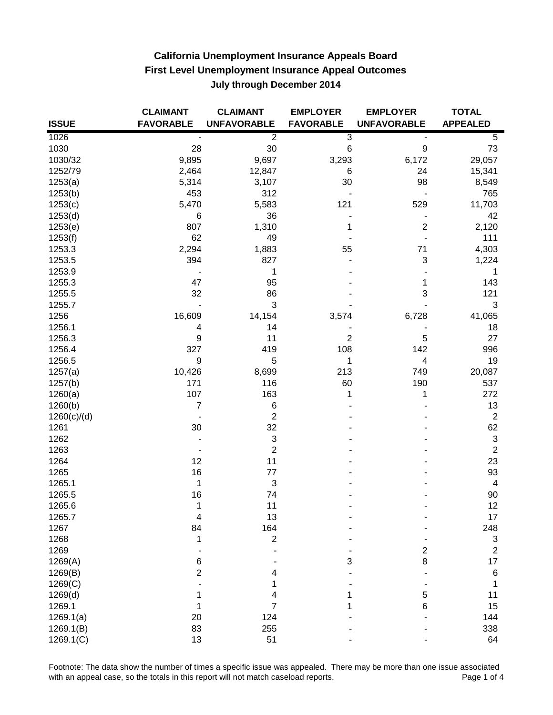|              | <b>CLAIMANT</b>  | <b>CLAIMANT</b>           | <b>EMPLOYER</b>  | <b>EMPLOYER</b>    | <b>TOTAL</b>              |
|--------------|------------------|---------------------------|------------------|--------------------|---------------------------|
| <b>ISSUE</b> | <b>FAVORABLE</b> | <b>UNFAVORABLE</b>        | <b>FAVORABLE</b> | <b>UNFAVORABLE</b> | <b>APPEALED</b>           |
| 1026         |                  | $\overline{2}$            | $\overline{3}$   |                    | 5                         |
| 1030         | 28               | $30\,$                    | $\,6$            | 9                  | 73                        |
| 1030/32      | 9,895            | 9,697                     | 3,293            | 6,172              | 29,057                    |
| 1252/79      | 2,464            | 12,847                    | 6                | 24                 | 15,341                    |
| 1253(a)      | 5,314            | 3,107                     | 30               | 98                 | 8,549                     |
| 1253(b)      | 453              | 312                       |                  |                    | 765                       |
| 1253(c)      | 5,470            | 5,583                     | 121              | 529                | 11,703                    |
| 1253(d)      | 6                | 36                        |                  |                    | 42                        |
| 1253(e)      | 807              | 1,310                     | 1                | $\overline{2}$     | 2,120                     |
| 1253(f)      | 62               | 49                        |                  |                    | 111                       |
| 1253.3       | 2,294            | 1,883                     | 55               | 71                 | 4,303                     |
| 1253.5       | 394              | 827                       |                  | 3                  | 1,224                     |
| 1253.9       |                  | 1                         |                  |                    | 1                         |
| 1255.3       | 47               | 95                        |                  | 1                  | 143                       |
| 1255.5       | 32               | 86                        |                  | 3                  | 121                       |
| 1255.7       |                  | $\ensuremath{\mathsf{3}}$ |                  |                    | 3                         |
| 1256         | 16,609           | 14,154                    | 3,574            | 6,728              | 41,065                    |
| 1256.1       | 4                | 14                        |                  |                    | 18                        |
| 1256.3       | 9                | 11                        | $\overline{2}$   | 5                  | 27                        |
| 1256.4       | 327              | 419                       | 108              | 142                | 996                       |
| 1256.5       | 9                | 5                         | 1                | 4                  | 19                        |
| 1257(a)      | 10,426           | 8,699                     | 213              | 749                | 20,087                    |
| 1257(b)      | 171              | 116                       | 60               | 190                | 537                       |
| 1260(a)      | 107              | 163                       | 1                | 1                  | 272                       |
| 1260(b)      | $\overline{7}$   | 6                         |                  |                    | 13                        |
| 1260(c)/(d)  |                  | $\overline{2}$            |                  |                    | $\mathbf 2$               |
| 1261         | 30               | 32                        |                  |                    | 62                        |
| 1262         |                  | 3                         |                  |                    | $\ensuremath{\mathsf{3}}$ |
| 1263         |                  | $\overline{c}$            |                  |                    | $\mathbf 2$               |
| 1264         | 12               | 11                        |                  |                    | 23                        |
| 1265         | 16               | 77                        |                  |                    | 93                        |
| 1265.1       | 1                | 3                         |                  |                    | $\overline{\mathbf{4}}$   |
| 1265.5       | 16               | 74                        |                  |                    | 90                        |
| 1265.6       | 1                | 11                        |                  |                    | 12                        |
| 1265.7       | 4                | 13                        |                  |                    | 17                        |
| 1267         | 84               | 164                       |                  |                    | 248                       |
| 1268         | 1                | $\overline{2}$            |                  |                    | 3                         |
| 1269         |                  |                           |                  | 2                  | 2                         |
| 1269(A)      | 6                |                           | 3                | 8                  | 17                        |
| 1269(B)      | $\overline{2}$   | 4                         |                  |                    | 6                         |
| 1269(C)      |                  |                           |                  |                    | 1                         |
| 1269(d)      |                  | 4                         |                  | 5                  | 11                        |
| 1269.1       |                  | 7                         |                  | 6                  | 15                        |
| 1269.1(a)    | 20               | 124                       |                  |                    | 144                       |
| 1269.1(B)    | 83               | 255                       |                  |                    | 338                       |
| 1269.1(C)    | 13               | 51                        |                  |                    | 64                        |

Footnote: The data show the number of times a specific issue was appealed. There may be more than one issue associated<br>4 with an appeal case, so the totals in this report will not match caseload reports. with an appeal case, so the totals in this report will not match caseload reports.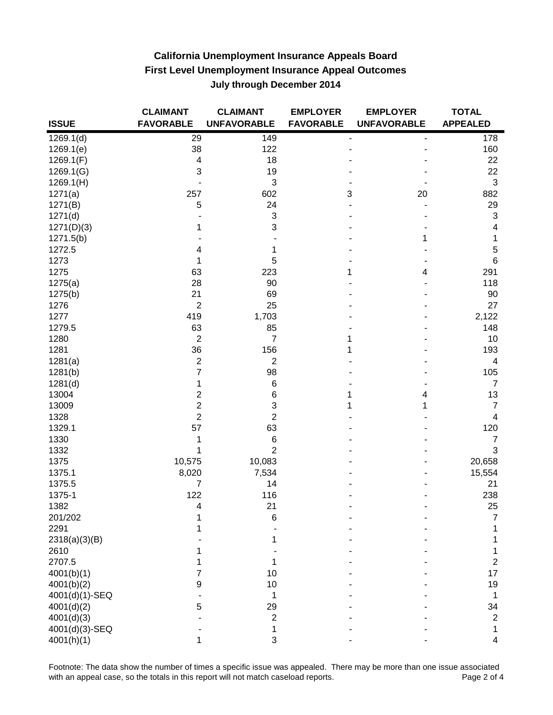|                       | <b>CLAIMANT</b>         | <b>CLAIMANT</b>           | <b>EMPLOYER</b>  | <b>EMPLOYER</b>    | <b>TOTAL</b>    |
|-----------------------|-------------------------|---------------------------|------------------|--------------------|-----------------|
| <b>ISSUE</b>          | <b>FAVORABLE</b>        | <b>UNFAVORABLE</b>        | <b>FAVORABLE</b> | <b>UNFAVORABLE</b> | <b>APPEALED</b> |
| 1269.1(d)             | 29                      | 149                       |                  |                    | 178             |
| 1269.1(e)             | 38                      | 122                       |                  |                    | 160             |
| 1269.1(F)             | $\overline{\mathbf{4}}$ | 18                        |                  |                    | 22              |
| 1269.1(G)             | 3                       | 19                        |                  |                    | 22              |
| 1269.1(H)             |                         | 3                         |                  |                    | 3               |
| 1271(a)               | 257                     | 602                       | 3                | 20                 | 882             |
| 1271(B)               | 5                       | 24                        |                  |                    | 29              |
| 1271(d)               |                         | 3                         |                  |                    | 3               |
| 1271(D)(3)            |                         | 3                         |                  |                    | 4               |
| 1271.5(b)             |                         |                           |                  | 1                  | 1               |
| 1272.5                | 4                       | 1                         |                  |                    | $\,$ 5 $\,$     |
| 1273                  |                         | 5                         |                  |                    | 6               |
| 1275                  | 63                      | 223                       | 1                | 4                  | 291             |
| 1275(a)               | 28                      | 90                        |                  |                    | 118             |
| 1275(b)               | 21                      | 69                        |                  |                    | 90              |
| 1276                  | $\overline{2}$          | 25                        |                  |                    | 27              |
| 1277                  | 419                     | 1,703                     |                  |                    | 2,122           |
| 1279.5                | 63                      | 85                        |                  |                    | 148             |
| 1280                  | $\overline{2}$          | $\overline{7}$            |                  |                    | 10              |
| 1281                  | 36                      | 156                       |                  |                    | 193             |
| 1281(a)               | $\mathbf 2$             | $\overline{c}$            |                  |                    | $\overline{4}$  |
| 1281(b)               | 7                       | 98                        |                  |                    | 105             |
| 1281(d)               | 1                       | 6                         |                  |                    | $\overline{7}$  |
| 13004                 | $\overline{2}$          | 6                         |                  | 4                  | 13              |
| 13009                 | $\overline{2}$          | $\ensuremath{\mathsf{3}}$ |                  | 1                  | 7               |
| 1328                  | $\overline{2}$          | $\overline{2}$            |                  |                    | 4               |
| 1329.1                | 57                      | 63                        |                  |                    | 120             |
| 1330                  | 1                       | 6                         |                  |                    | 7               |
| 1332                  | 1                       | $\overline{2}$            |                  |                    | 3               |
| 1375                  | 10,575                  | 10,083                    |                  |                    | 20,658          |
| 1375.1                | 8,020                   | 7,534                     |                  |                    | 15,554          |
| 1375.5                | $\overline{7}$          | 14                        |                  |                    | 21              |
| 1375-1                | 122                     | 116                       |                  |                    | 238             |
| 1382                  | 4                       | 21                        |                  |                    | 25              |
| 201/202               |                         |                           |                  |                    | 7               |
| 2291                  |                         | 6                         |                  |                    |                 |
|                       |                         |                           |                  |                    |                 |
| 2318(a)(3)(B)<br>2610 |                         |                           |                  |                    |                 |
| 2707.5                |                         |                           |                  |                    | 2               |
|                       |                         |                           |                  |                    |                 |
| 4001(b)(1)            |                         | 10                        |                  |                    | 17              |
| 4001(b)(2)            | 9                       | 10                        |                  |                    | 19              |
| 4001(d)(1)-SEQ        |                         | 1                         |                  |                    |                 |
| 4001(d)(2)            |                         | 29                        |                  |                    | 34              |
| 4001(d)(3)            |                         | 2                         |                  |                    | $\overline{c}$  |
| 4001(d)(3)-SEQ        |                         | 1                         |                  |                    |                 |
| 4001(h)(1)            |                         | 3                         |                  |                    | 4               |

Footnote: The data show the number of times a specific issue was appealed. There may be more than one issue associated<br>4 with an appeal case, so the totals in this report will not match caseload reports. with an appeal case, so the totals in this report will not match caseload reports.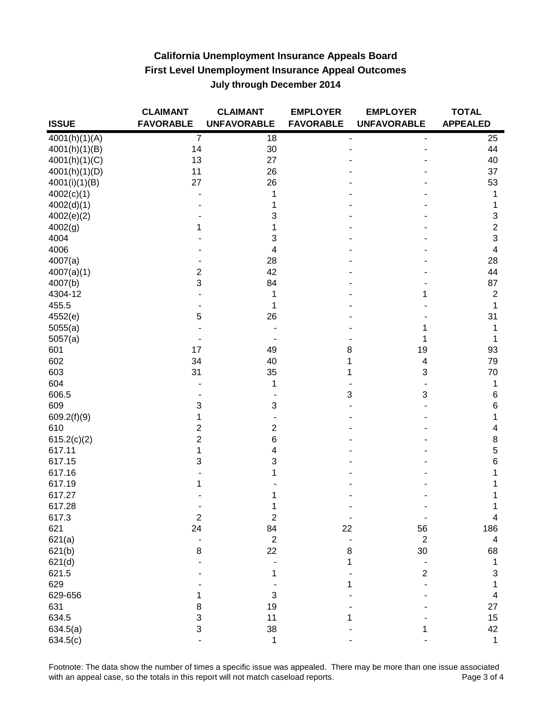|               | <b>CLAIMANT</b>  | <b>CLAIMANT</b>           | <b>EMPLOYER</b>  | <b>EMPLOYER</b>         | <b>TOTAL</b>    |
|---------------|------------------|---------------------------|------------------|-------------------------|-----------------|
| <b>ISSUE</b>  | <b>FAVORABLE</b> | <b>UNFAVORABLE</b>        | <b>FAVORABLE</b> | <b>UNFAVORABLE</b>      | <b>APPEALED</b> |
| 4001(h)(1)(A) | $\overline{7}$   | 18                        |                  |                         | 25              |
| 4001(h)(1)(B) | 14               | 30                        |                  |                         | 44              |
| 4001(h)(1)(C) | 13               | 27                        |                  |                         | 40              |
| 4001(h)(1)(D) | 11               | 26                        |                  |                         | 37              |
| 4001(i)(1)(B) | 27               | 26                        |                  |                         | 53              |
| 4002(c)(1)    |                  | 1                         |                  |                         | 1               |
| 4002(d)(1)    |                  | 1                         |                  |                         |                 |
| 4002(e)(2)    |                  | 3                         |                  |                         | 3               |
| 4002(g)       |                  | 1                         |                  |                         | 2               |
| 4004          |                  | 3                         |                  |                         | 3               |
| 4006          |                  | 4                         |                  |                         | 4               |
| 4007(a)       |                  | 28                        |                  |                         | 28              |
| 4007(a)(1)    | 2                | 42                        |                  |                         | 44              |
|               | 3                | 84                        |                  |                         | 87              |
| 4007(b)       |                  |                           |                  |                         |                 |
| 4304-12       |                  | 1                         |                  |                         | $\mathbf 2$     |
| 455.5         |                  | 1                         |                  |                         | 1               |
| 4552(e)       | 5                | 26                        |                  |                         | 31              |
| 5055(a)       |                  |                           |                  |                         |                 |
| 5057(a)       |                  |                           |                  | 1                       |                 |
| 601           | 17               | 49                        | 8                | 19                      | 93              |
| 602           | 34               | 40                        |                  | $\overline{\mathbf{4}}$ | 79              |
| 603           | 31               | 35                        |                  | 3                       | 70              |
| 604           |                  | 1                         |                  |                         | 1               |
| 606.5         |                  |                           | 3                | 3                       | 6               |
| 609           | 3                | 3                         |                  |                         | 6               |
| 609.2(f)(9)   | 1                |                           |                  |                         | 1               |
| 610           | 2                | $\overline{2}$            |                  |                         | 4               |
| 615.2(c)(2)   | $\overline{c}$   | 6                         |                  |                         | 8               |
| 617.11        | 1                | 4                         |                  |                         | 5               |
| 617.15        | 3                | 3                         |                  |                         | 6               |
| 617.16        |                  | 1                         |                  |                         |                 |
| 617.19        |                  |                           |                  |                         |                 |
| 617.27        |                  |                           |                  |                         |                 |
| 617.28        |                  | 1                         |                  |                         |                 |
| 617.3         | $\boldsymbol{2}$ | $\boldsymbol{2}$          | $\blacksquare$   |                         | 4               |
| 621           | 24               | 84                        | 22               | 56                      | 186             |
| 621(a)        |                  | $\boldsymbol{2}$          |                  | $\boldsymbol{2}$        | 4               |
| 621(b)        | $\bf 8$          | 22                        | 8                | 30                      | 68              |
| 621(d)        |                  |                           | 1                |                         | 1               |
| 621.5         |                  | 1                         |                  | $\overline{c}$          | 3               |
| 629           |                  |                           | 1                |                         | 1               |
| 629-656       |                  | $\ensuremath{\mathsf{3}}$ |                  |                         | 4               |
| 631           | 8                | 19                        |                  |                         | 27              |
| 634.5         | 3                | 11                        |                  |                         | 15              |
| 634.5(a)      | 3                | 38                        |                  |                         | 42              |
| 634.5(c)      |                  | 1                         |                  |                         | 1               |
|               |                  |                           |                  |                         |                 |

Footnote: The data show the number of times a specific issue was appealed. There may be more than one issue associated<br>4 with an appeal case, so the totals in this report will not match caseload reports. with an appeal case, so the totals in this report will not match caseload reports.